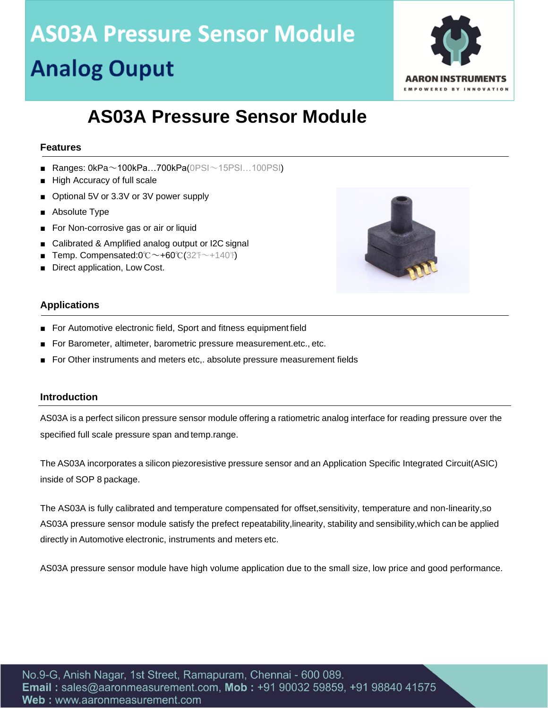

### **AS03A Pressure Sensor Module**

#### **Features**

- **Ranges: 0kPa** $\sim$ **100kPa...700kPa(0PSI** $\sim$ **15PSI...100PSI)**
- High Accuracy of full scale
- Optional 5V or 3.3V or 3V power supply
- Absolute Type
- For Non-corrosive gas or air or liquid
- Calibrated & Amplified analog output or I2C signal
- Temp. Compensated:0℃~+60℃(32℉~+140℉)
- Direct application, Low Cost.



#### **Applications**

- For Automotive electronic field, Sport and fitness equipment field
- For Barometer, altimeter, barometric pressure measurement.etc., etc.
- For Other instruments and meters etc,. absolute pressure measurement fields

#### **Introduction**

AS03A is a perfect silicon pressure sensor module offering a ratiometric analog interface for reading pressure over the specified full scale pressure span and temp.range.

The AS03A incorporates a silicon piezoresistive pressure sensor and an Application Specific Integrated Circuit(ASIC) inside of SOP 8 package.

The AS03A is fully calibrated and temperature compensated for offset,sensitivity, temperature and non-linearity,so AS03A pressure sensor module satisfy the prefect repeatability,linearity, stability and sensibility,which can be applied directly in Automotive electronic, instruments and meters etc.

AS03A pressure sensor module have high volume application due to the small size, low price and good performance.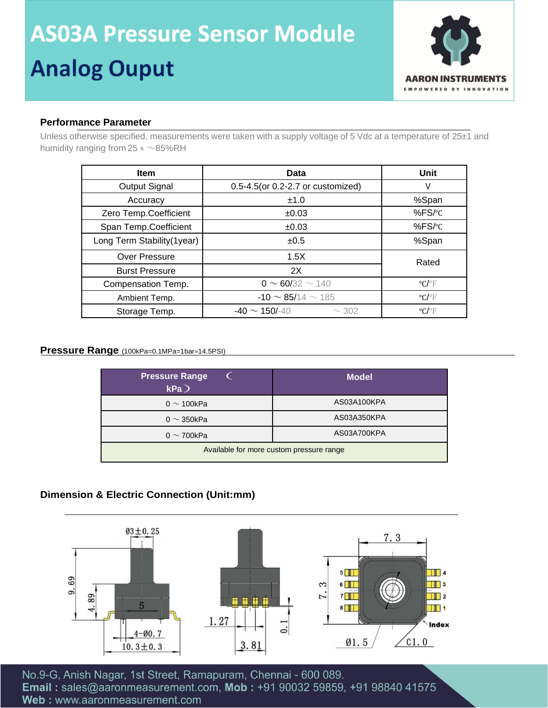

#### **Performance Parameter**

Unless otherwise specified, measurements were taken with a supply voltage of 5 Vdc at a temperature of 25±1 and humidity ranging from 25  $* \sim 85\%$ RH

| <b>Item</b>                 | Data                              | Unit                       |  |
|-----------------------------|-----------------------------------|----------------------------|--|
| Output Signal               | 0.5-4.5(or 0.2-2.7 or customized) | V                          |  |
| Accuracy                    | ±1.0                              | %Span                      |  |
| Zero Temp.Coefficient       | ±0.03                             | %FS/°C                     |  |
| Span Temp.Coefficient       | ±0.03                             | %FS/ $\degree$ C           |  |
| Long Term Stability (1year) | ±0.5                              | %Span                      |  |
| <b>Over Pressure</b>        | 1.5X<br>Rated                     |                            |  |
| <b>Burst Pressure</b>       | 2X                                |                            |  |
| Compensation Temp.          | $0 \sim 60/32 \sim 140$           | $^{\circ}$ C/ $^{\circ}$ F |  |
| Ambient Temp.               | $-10 \sim 85/14 \sim 185$         | $^{\circ}C/\overline{ }$   |  |
| Storage Temp.               | $-40 \sim 150/140$<br>$\sim$ 302  | $^{\circ}$ C/ $^{\circ}$ F |  |

#### **Pressure Range** (100kPa=0.1MPa=1bar≈14.5PSI)

| <b>Pressure Range</b><br>kPa             | <b>Model</b> |  |  |  |
|------------------------------------------|--------------|--|--|--|
| 0 $\sim$ 100kPa                          | AS03A100KPA  |  |  |  |
| 0 $\sim$ 350kPa                          | AS03A350KPA  |  |  |  |
| 0 $\sim$ 700kPa                          | AS03A700KPA  |  |  |  |
| Available for more custom pressure range |              |  |  |  |

#### **Dimension & Electric Connection (Unit:mm)**



No.9-G, Anish Nagar, 1st Street, Ramapuram, Chennai - 600 089. Email: sales@aaronmeasurement.com, Mob: +91 90032 59859, +91 98840 41575 Web: www.aaronmeasurement.com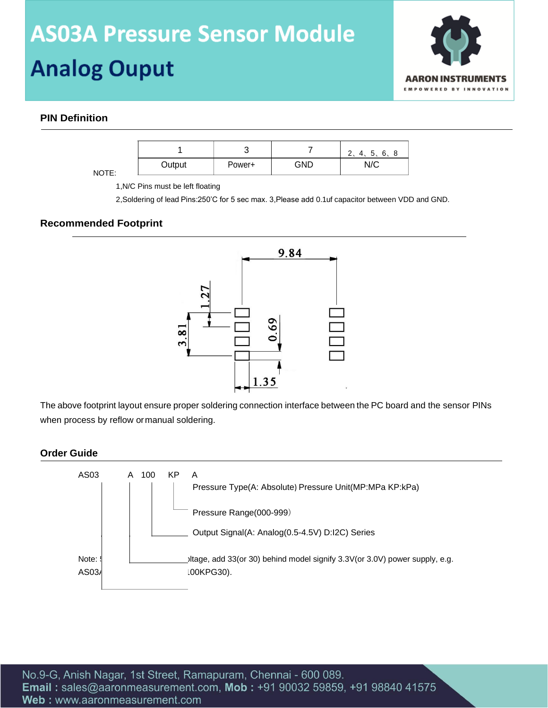## **AS03A Pressure Sensor Module**

## **Analog Ouput**



#### **PIN Definition**

|       |        | ັ      |     | 6.<br>∽<br>ັ<br><b>L</b> |
|-------|--------|--------|-----|--------------------------|
| NOTE: | Output | Power+ | GND | N/C                      |

1,N/C Pins must be left floating

2,Soldering of lead Pins:250'C for 5 sec max. 3,Please add 0.1uf capacitor between VDD and GND.

#### **Recommended Footprint**



The above footprint layout ensure proper soldering connection interface between the PC board and the sensor PINs when process by reflow ormanual soldering.

#### **Order Guide**

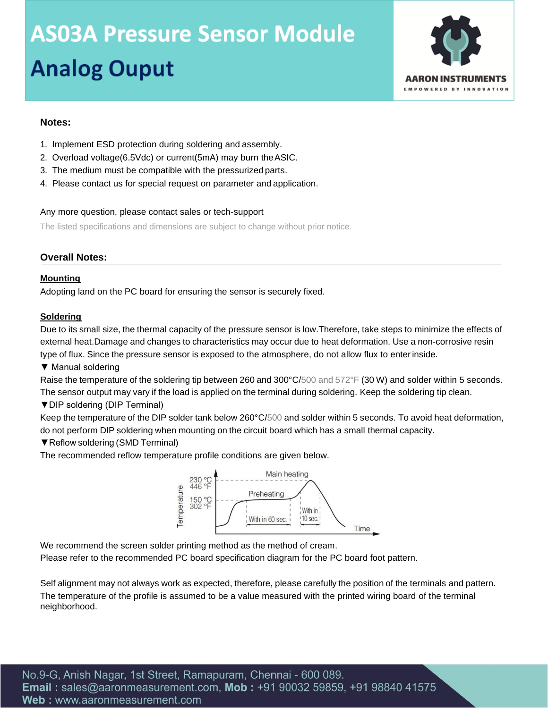

#### **Notes:**

- 1. Implement ESD protection during soldering and assembly.
- 2. Overload voltage(6.5Vdc) or current(5mA) may burn theASIC.
- 3. The medium must be compatible with the pressurized parts.
- 4. Please contact us for special request on parameter and application.

#### Any more question, please contact sales or tech-support

The listed specifications and dimensions are subject to change without prior notice.

#### **Overall Notes:**

#### **Mounting**

Adopting land on the PC board for ensuring the sensor is securely fixed.

#### **Soldering**

Due to its small size, the thermal capacity of the pressure sensor is low.Therefore, take steps to minimize the effects of external heat.Damage and changes to characteristics may occur due to heat deformation. Use a non-corrosive resin type of flux. Since the pressure sensor is exposed to the atmosphere, do not allow flux to enterinside.

▼ Manual soldering

Raise the temperature of the soldering tip between 260 and 300°C/500 and 572°F (30 W) and solder within 5 seconds. The sensor output may vary if the load is applied on the terminal during soldering. Keep the soldering tip clean.

▼DIP soldering (DIP Terminal)

Keep the temperature of the DIP solder tank below 260°C/500 and solder within 5 seconds. To avoid heat deformation, do not perform DIP soldering when mounting on the circuit board which has a small thermal capacity.

#### ▼Reflow soldering (SMD Terminal)

The recommended reflow temperature profile conditions are given below.



We recommend the screen solder printing method as the method of cream.

Please refer to the recommended PC board specification diagram for the PC board foot pattern.

Self alignment may not always work as expected, therefore, please carefully the position of the terminals and pattern. The temperature of the profile is assumed to be a value measured with the printed wiring board of the terminal neighborhood.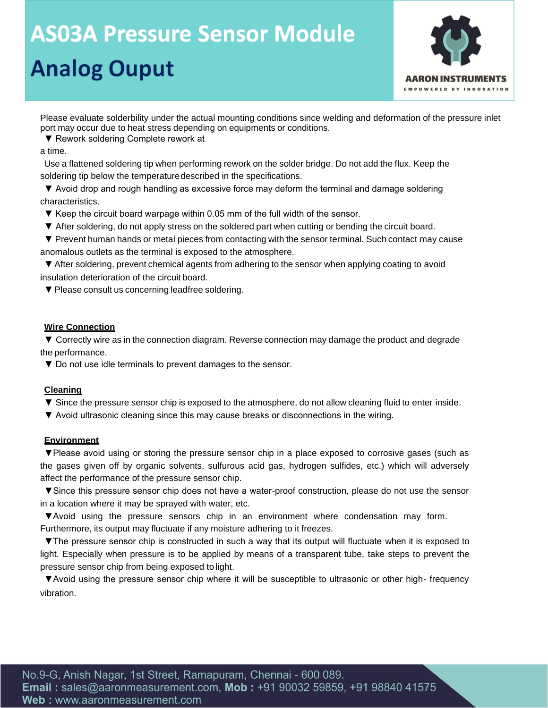

Please evaluate solderbility under the actual mounting conditions since welding and deformation of the pressure inlet port may occur due to heat stress depending on equipments or conditions.

▼ Rework soldering Complete rework at

a time.

Use a flattened soldering tip when performing rework on the solder bridge. Do not add the flux. Keep the soldering tip below the temperaturedescribed in the specifications.

▼ Avoid drop and rough handling as excessive force may deform the terminal and damage soldering characteristics.

▼ Keep the circuit board warpage within 0.05 mm of the full width of the sensor.

- ▼ After soldering, do not apply stress on the soldered part when cutting or bending the circuit board.
- ▼ Prevent human hands or metal pieces from contacting with the sensor terminal. Such contact may cause anomalous outlets as the terminal is exposed to the atmosphere.

▼ After soldering, prevent chemical agents from adhering to the sensor when applying coating to avoid insulation deterioration of the circuit board.

▼ Please consult us concerning leadfree soldering.

#### **Wire Connection**

▼ Correctly wire as in the connection diagram. Reverse connection may damage the product and degrade the performance.

▼ Do not use idle terminals to prevent damages to the sensor.

#### **Cleaning**

- ▼ Since the pressure sensor chip is exposed to the atmosphere, do not allow cleaning fluid to enter inside.
- ▼ Avoid ultrasonic cleaning since this may cause breaks or disconnections in the wiring.

#### **Environment**

▼Please avoid using or storing the pressure sensor chip in a place exposed to corrosive gases (such as the gases given off by organic solvents, sulfurous acid gas, hydrogen sulfides, etc.) which will adversely affect the performance of the pressure sensor chip.

▼Since this pressure sensor chip does not have a water-proof construction, please do not use the sensor in a location where it may be sprayed with water, etc.

▼Avoid using the pressure sensors chip in an environment where condensation may form. Furthermore, its output may fluctuate if any moisture adhering to it freezes.

▼The pressure sensor chip is constructed in such a way that its output will fluctuate when it is exposed to light. Especially when pressure is to be applied by means of a transparent tube, take steps to prevent the pressure sensor chip from being exposed to light.

▼Avoid using the pressure sensor chip where it will be susceptible to ultrasonic or other high- frequency vibration.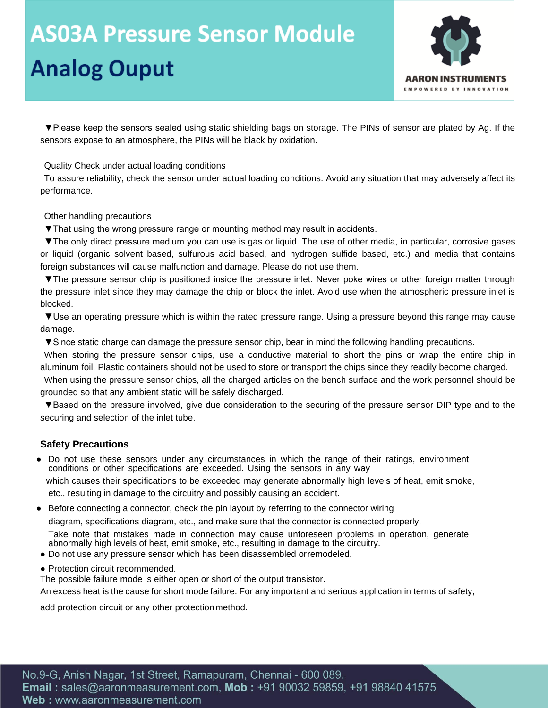# **AS03A Pressure Sensor Module**

## **Analog Ouput**



▼Please keep the sensors sealed using static shielding bags on storage. The PINs of sensor are plated by Ag. If the sensors expose to an atmosphere, the PINs will be black by oxidation.

Quality Check under actual loading conditions

To assure reliability, check the sensor under actual loading conditions. Avoid any situation that may adversely affect its performance.

Other handling precautions

▼That using the wrong pressure range or mounting method may result in accidents.

▼The only direct pressure medium you can use is gas or liquid. The use of other media, in particular, corrosive gases or liquid (organic solvent based, sulfurous acid based, and hydrogen sulfide based, etc.) and media that contains foreign substances will cause malfunction and damage. Please do not use them.

▼The pressure sensor chip is positioned inside the pressure inlet. Never poke wires or other foreign matter through the pressure inlet since they may damage the chip or block the inlet. Avoid use when the atmospheric pressure inlet is blocked.

▼Use an operating pressure which is within the rated pressure range. Using a pressure beyond this range may cause damage.

▼Since static charge can damage the pressure sensor chip, bear in mind the following handling precautions.

When storing the pressure sensor chips, use a conductive material to short the pins or wrap the entire chip in aluminum foil. Plastic containers should not be used to store or transport the chips since they readily become charged.

When using the pressure sensor chips, all the charged articles on the bench surface and the work personnel should be grounded so that any ambient static will be safely discharged.

▼Based on the pressure involved, give due consideration to the securing of the pressure sensor DIP type and to the securing and selection of the inlet tube.

#### **Safety Precautions**

Do not use these sensors under any circumstances in which the range of their ratings, environment conditions or other specifications are exceeded. Using the sensors in any way

 which causes their specifications to be exceeded may generate abnormally high levels of heat, emit smoke, etc., resulting in damage to the circuitry and possibly causing an accident.

● Before connecting a connector, check the pin layout by referring to the connector wiring

diagram, specifications diagram, etc., and make sure that the connector is connected properly.

Take note that mistakes made in connection may cause unforeseen problems in operation, generate abnormally high levels of heat, emit smoke, etc., resulting in damage to the circuitry.

- Do not use any pressure sensor which has been disassembled orremodeled.
- Protection circuit recommended.

The possible failure mode is either open or short of the output transistor.

An excess heat is the cause for short mode failure. For any important and serious application in terms of safety,

add protection circuit or any other protection method.